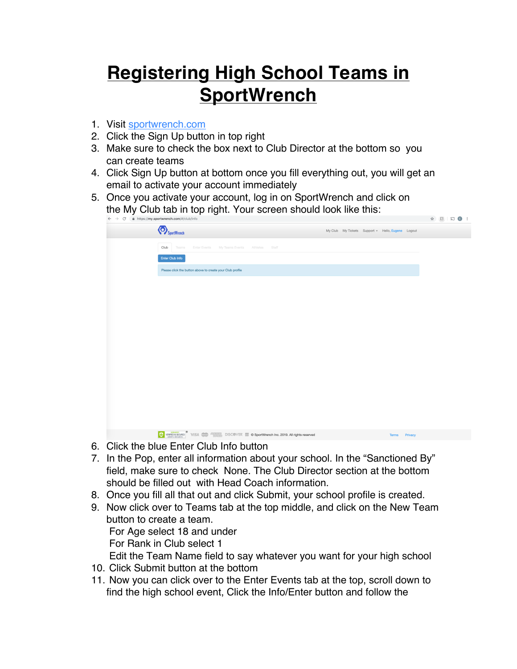## **Registering High School Teams in SportWrench**

- 1. Visit sportwrench.com
- 2. Click the Sign Up button in top right
- 3. Make sure to check the box next to Club Director at the bottom so you can create teams
- 4. Click Sign Up button at bottom once you fill everything out, you will get an email to activate your account immediately
- 5. Once you activate your account, log in on SportWrench and click on the My Club tab in top right. Your screen should look like this:

| $\leftarrow$ $\rightarrow$ $\mathbb{C}$ $\blacksquare$ https://my.sportwrench.com/#/club/info                                                                                                                                            |  |                                                   |               | $\begin{picture}(180,10) \put(0,0){\line(1,0){10}} \put(10,0){\line(1,0){10}} \put(10,0){\line(1,0){10}} \put(10,0){\line(1,0){10}} \put(10,0){\line(1,0){10}} \put(10,0){\line(1,0){10}} \put(10,0){\line(1,0){10}} \put(10,0){\line(1,0){10}} \put(10,0){\line(1,0){10}} \put(10,0){\line(1,0){10}} \put(10,0){\line(1,0){10}} \put(10,0){\line($ |
|------------------------------------------------------------------------------------------------------------------------------------------------------------------------------------------------------------------------------------------|--|---------------------------------------------------|---------------|-----------------------------------------------------------------------------------------------------------------------------------------------------------------------------------------------------------------------------------------------------------------------------------------------------------------------------------------------------|
| SportWrench                                                                                                                                                                                                                              |  | My Club My Tickets Support - Hello, Eugene Logout |               |                                                                                                                                                                                                                                                                                                                                                     |
| Club<br>Enter Events My Teams Events Athletes Staff<br>Teams                                                                                                                                                                             |  |                                                   |               |                                                                                                                                                                                                                                                                                                                                                     |
| Enter Club Info                                                                                                                                                                                                                          |  |                                                   |               |                                                                                                                                                                                                                                                                                                                                                     |
| Please click the button above to create your Club profile                                                                                                                                                                                |  |                                                   |               |                                                                                                                                                                                                                                                                                                                                                     |
|                                                                                                                                                                                                                                          |  |                                                   |               |                                                                                                                                                                                                                                                                                                                                                     |
|                                                                                                                                                                                                                                          |  |                                                   |               |                                                                                                                                                                                                                                                                                                                                                     |
|                                                                                                                                                                                                                                          |  |                                                   |               |                                                                                                                                                                                                                                                                                                                                                     |
|                                                                                                                                                                                                                                          |  |                                                   |               |                                                                                                                                                                                                                                                                                                                                                     |
|                                                                                                                                                                                                                                          |  |                                                   |               |                                                                                                                                                                                                                                                                                                                                                     |
|                                                                                                                                                                                                                                          |  |                                                   |               |                                                                                                                                                                                                                                                                                                                                                     |
|                                                                                                                                                                                                                                          |  |                                                   |               |                                                                                                                                                                                                                                                                                                                                                     |
|                                                                                                                                                                                                                                          |  |                                                   |               |                                                                                                                                                                                                                                                                                                                                                     |
|                                                                                                                                                                                                                                          |  |                                                   |               |                                                                                                                                                                                                                                                                                                                                                     |
|                                                                                                                                                                                                                                          |  |                                                   |               |                                                                                                                                                                                                                                                                                                                                                     |
|                                                                                                                                                                                                                                          |  |                                                   |               |                                                                                                                                                                                                                                                                                                                                                     |
|                                                                                                                                                                                                                                          |  |                                                   |               |                                                                                                                                                                                                                                                                                                                                                     |
|                                                                                                                                                                                                                                          |  |                                                   |               |                                                                                                                                                                                                                                                                                                                                                     |
| <b>ON VERVE DESCRIPTION CONTROL</b> DISCOVER <b>ED ON SPORT SECOND DESCRIPTION CONTROL</b> UNIVERSITY OF THE CONTROL OF THE CONTROL OF THE CONTROL OF THE CONTROL OF THE CONTROL OF THE CONTROL OF THE CONTROL OF THE CONTROL OF THE CON |  |                                                   | Terms Privacy |                                                                                                                                                                                                                                                                                                                                                     |
|                                                                                                                                                                                                                                          |  |                                                   |               |                                                                                                                                                                                                                                                                                                                                                     |

- 6. Click the blue Enter Club Info button
- 7. In the Pop, enter all information about your school. In the "Sanctioned By" field, make sure to check None. The Club Director section at the bottom should be filled out with Head Coach information.
- 8. Once you fill all that out and click Submit, your school profile is created.
- 9. Now click over to Teams tab at the top middle, and click on the New Team button to create a team. For Age select 18 and under For Rank in Club select 1 Edit the Team Name field to say whatever you want for your high school
- 10. Click Submit button at the bottom
- 11. Now you can click over to the Enter Events tab at the top, scroll down to find the high school event, Click the Info/Enter button and follow the